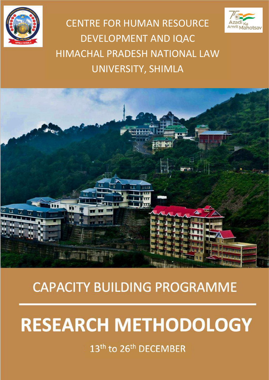



. CENTRE FOR HUMAN RESOURCE DEVELOPMENT AND IQAC HIMACHAL PRADESH NATIONAL LAW UNIVERSITY, SHIMLA



# **CAPACITY BUILDING PROGRAMME**

**RESEARCH METHODOLOGY** 

13<sup>th</sup> to 26<sup>th</sup> DECEMBER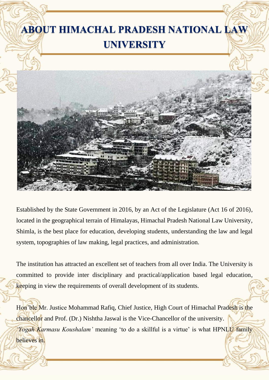

Established by the State Government in 2016, by an Act of the Legislature (Act 16 of 2016), located in the geographical terrain of Himalayas, Himachal Pradesh National Law University, Shimla, is the best place for education, developing students, understanding the law and legal system, topographies of law making, legal practices, and administration.

The institution has attracted an excellent set of teachers from all over India. The University is committed to provide inter disciplinary and practical/application based legal education, keeping in view the requirements of overall development of its students.

Hon'ble Mr. Justice Mohammad Rafiq, Chief Justice, High Court of Himachal Pradesh is the chancellor and Prof. (Dr.) Nishtha Jaswal is the Vice-Chancellor of the university. *'Yogah Karmasu Koushalam'* meaning 'to do a skillful is a virtue' is what HPNLU family believes in.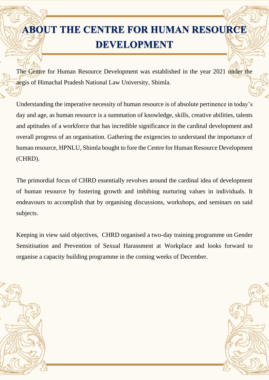# **ABOUT THE CENTRE FOR HUMAN RESOURCE DEVELOPMENT**

The Centre for Human Resource Development was established in the year 2021 under the aegis of Himachal Pradesh National Law University, Shimla.

Understanding the imperative necessity of human resource is of absolute pertinence in today's day and age, as human resource is a summation of knowledge, skills, creative abilities, talents and aptitudes of a workforce that has incredible significance in the cardinal development and overall progress of an organisation. Gathering the exigencies to understand the importance of human resource, HPNLU, Shimla bought to fore the Centre for Human Resource Development (CHRD).

The primordial focus of CHRD essentially revolves around the cardinal idea of development of human resource by fostering growth and imbibing nurturing values in individuals. It endeavours to accomplish that by organising discussions, workshops, and seminars on said subjects.

Keeping in view said objectives, CHRD organised a two-day training programme on Gender Sensitisation and Prevention of Sexual Harassment at Workplace and looks forward to organise a capacity building programme in the coming weeks of December.



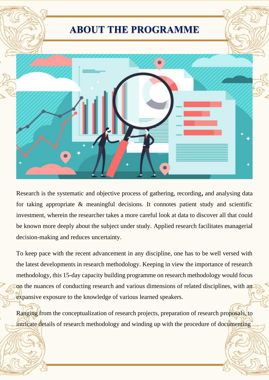# **ABOUT THE PROGRAMME**



Research is the systematic and objective process of gathering, recording**,** and analysing data for taking appropriate & meaningful decisions. It connotes patient study and scientific investment, wherein the researcher takes a more careful look at data to discover all that could be known more deeply about the subject under study. Applied research facilitates managerial decision-making and reduces uncertainty.

To keep pace with the recent advancement in any discipline, one has to be well versed with the latest developments in research methodology. Keeping in view the importance of research methodology, this 15-day capacity building programme on research methodology would focus on the nuances of conducting research and various dimensions of related disciplines, with an expansive exposure to the knowledge of various learned speakers.

Ranging from the conceptualization of research projects, preparation of research proposals, to intricate details of research methodology and winding up with the procedure of documenting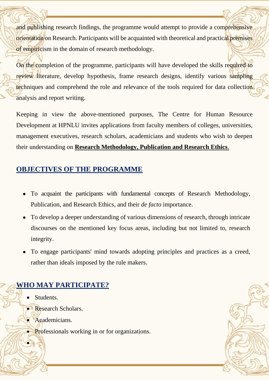and publishing research findings, the programme would attempt to provide a comprehensive orientation on Research. Participants will be acquainted with theoretical and practical premises of empiricism in the domain of research methodology.

On the completion of the programme, participants will have developed the skills required to review literature, develop hypothesis, frame research designs, identify various sampling techniques and comprehend the role and relevance of the tools required for data collection analysis and report writing.

Keeping in view the above-mentioned purposes, The Centre for Human Resource Development at HPNLU invites applications from faculty members of colleges, universities, management executives, research scholars, academicians and students who wish to deepen their understanding on **Research Methodology, Publication and Research Ethics**.

## **OBJECTIVES OF THE PROGRAMME**

- To acquaint the participants with fundamental concepts of Research Methodology, Publication, and Research Ethics, and their *de facto* importance.
- To develop a deeper understanding of various dimensions of research, through intricate discourses on the mentioned key focus areas, including but not limited to, research integrity.
- To engage participants' mind towards adopting principles and practices as a creed, rather than ideals imposed by the rule makers.

## **WHO MAY PARTICIPATE?**

Students.

•

- Research Scholars.
- Academicians.
- Professionals working in or for organizations.

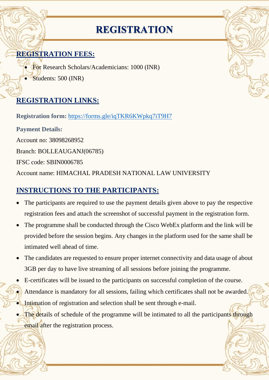# **REGISTRATION**

# **REGISTRATION FEES:**

• For Research Scholars/Academicians: 1000 (INR) • Students: 500 (INR)

# **REGISTRATION LINKS:**

**Registration form:** <https://forms.gle/iqTKR6KWpkq7iT9H7>

**Payment Details:** Account no: 38098268952 Branch: BOLLEAUGANJ(06785) IFSC code: SBIN0006785 Account name: HIMACHAL PRADESH NATIONAL LAW UNIVERSITY

# **INSTRUCTIONS TO THE PARTICIPANTS:**

- The participants are required to use the payment details given above to pay the respective registration fees and attach the screenshot of successful payment in the registration form.
- The programme shall be conducted through the Cisco WebEx platform and the link will be provided before the session begins. Any changes in the platform used for the same shall be intimated well ahead of time.
- The candidates are requested to ensure proper internet connectivity and data usage of about 3GB per day to have live streaming of all sessions before joining the programme.
- E-certificates will be issued to the participants on successful completion of the course. Attendance is mandatory for all sessions, failing which certificates shall not be awarded. Intimation of registration and selection shall be sent through e-mail.
- The details of schedule of the programme will be intimated to all the participants through email after the registration process.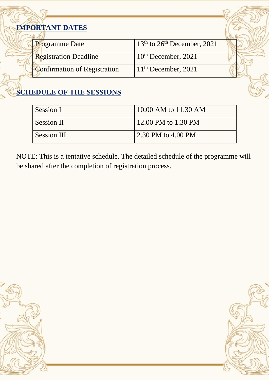# **IMPORTANT DATES**

| <b>Programme Date</b>               | $13th$ to $26th$ December, 2021 |
|-------------------------------------|---------------------------------|
| <b>Registration Deadline</b>        | $10th$ December, 2021           |
| <b>Confirmation of Registration</b> | $11th$ December, 2021           |

# **SCHEDULE OF THE SESSIONS**

| Session I          | 10.00 AM to 11.30 AM |
|--------------------|----------------------|
| Session II         | 12.00 PM to 1.30 PM  |
| <b>Session III</b> | 2.30 PM to 4.00 PM   |

NOTE: This is a tentative schedule. The detailed schedule of the programme will be shared after the completion of registration process.

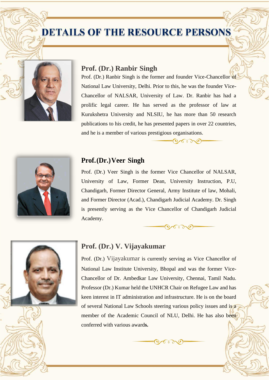# **DETAILS OF THE RESOURCE PERSONS**



#### **Prof. (Dr.) Ranbir Singh**

Prof. (Dr.) Ranbir Singh is the former and founder Vice-Chancellor of National Law University, Delhi. Prior to this, he was the founder Vice-Chancellor of NALSAR, University of Law. Dr. Ranbir has had a prolific legal career. He has served as the professor of law at Kurukshetra University and NLSIU, he has more than 50 research publications to his credit, he has presented papers in over 22 countries, and he is a member of various prestigious organisations.

 $Q \curvearrowleft$ 



#### **Prof.(Dr.)Veer Singh**

Prof. (Dr.) Veer Singh is the former Vice Chancellor of NALSAR, University of Law, Former Dean, University Instruction, P.U, Chandigarh, Former Director General, Army Institute of law, Mohali, and Former Director (Acad.), Chandigarh Judicial Academy. Dr. Singh is presently serving as the Vice Chancellor of Chandigarh Judicial Academy.

 $\odot$  or  $\odot$ 



#### **Prof. (Dr.) V. Vijayakumar**

Prof. (Dr.) Vijayakumar is currently serving as Vice Chancellor of National Law Institute University, Bhopal and was the former Vice-Chancellor of Dr. Ambedkar Law University, Chennai, Tamil Nadu. Professor (Dr.) Kumar held the UNHCR Chair on Refugee Law and has keen interest in IT administration and infrastructure. He is on the board of several National Law Schools steering various policy issues and is a member of the Academic Council of NLU, Delhi. He has also been conferred with various award**s.**

 $\odot$  or  $\odot$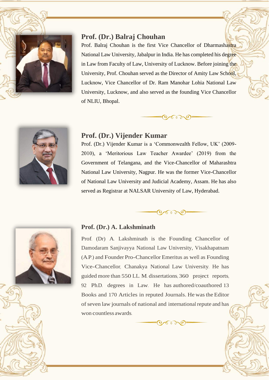

#### **Prof. (Dr.) Balraj Chouhan**

Prof. Balraj Chouhan is the first Vice Chancellor of Dharmashastra National Law University, Jabalpur in India. He has completed his degree in Law from Faculty of Law, University of Lucknow. Before joining the University, Prof. Chouhan served as the Director of Amity Law School, Lucknow, Vice Chancellor of Dr. Ram Manohar Lohia National Law University, Lucknow, and also served as the founding Vice Chancellor of NLIU, Bhopal.



#### **Prof. (Dr.) Vijender Kumar**

Prof. (Dr.) Vijender Kumar is a 'Commonwealth Fellow, UK' (2009- 2010), a 'Meritorious Law Teacher Awardee' (2019) from the Government of Telangana, and the Vice-Chancellor of Maharashtra National Law University, Nagpur. He was the former Vice-Chancellor of National Law University and Judicial Academy, Assam. He has also served as Registrar at NALSAR University of Law, Hyderabad.



 $-0.6000$ 



#### **Prof. (Dr.) A. Lakshminath**

Prof. (Dr) A. Lakshminath is the Founding Chancellor of Damodaram Sanjivayya National Law University, Visakhapatnam (A.P.) and Founder Pro-Chancellor Emeritus as well as Founding Vice-Chancellor, Chanakya National Law University. He has guided more than 550 LL. M. dissertations, 360 project reports, 92 Ph.D. degrees in Law. He has authored/coauthored 13 Books and 170 Articles in reputed Journals. He wasthe Editor of seven law journals of national and international repute and has won countless awards.

 $Q \rightarrow Q$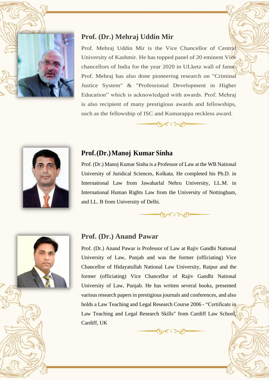

### **Prof. (Dr.) Mehraj Uddin Mir**

Prof. Mehraj Uddin Mir is the Vice Chancellor of Central University of Kashmir. He has topped panel of 20 eminent Vice chancellors of India for the year 2020 in ULketz wall of fame. Prof. Mehraj has also done pioneering research on "Criminal Justice System" & "Professional Development in Higher Education" which is acknowledged with awards. Prof. Mehraj is also recipient of many prestigious awards and fellowships, such as the fellowship of ISC and Kumarappa reckless award.

 $(0,0,0,0)$ 

 $\Theta$  or  $\Theta$  =



#### **Prof.(Dr.)Manoj Kumar Sinha**

Prof. (Dr.) Manoj Kumar Sinha is a Professor of Law at the WB National University of Juridical Sciences, Kolkata. He completed his Ph.D. in International Law from Jawaharlal Nehru University, LL.M. in International Human Rights Law from the University of Nottingham, and LL. B from University of Delhi.



#### **Prof. (Dr.) Anand Pawar**

Prof. (Dr.) Anand Pawar is Professor of Law at Rajiv Gandhi National University of Law, Punjab and was the former (officiating) Vice Chancellor of Hidayatullah National Law University, Raipur and the former (officiating) Vice Chancellor of Rajiv Gandhi National University of Law, Punjab. He has written several books, presented various research papers in prestigious journals and conferences, and also holds a Law Teaching and Legal Research Course 2006 - "Certificate in Law Teaching and Legal Research Skills" from Cardiff Law School, Cardiff, UK

 $\Theta$  or order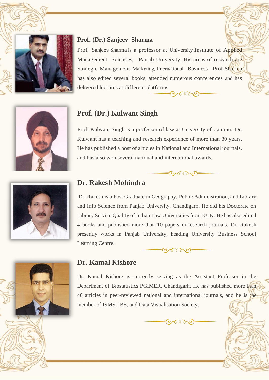

#### **Prof. (Dr.) Sanjeev Sharma**

Prof. Sanjeev Sharma is a professor at University Institute of Applied Management Sciences, Panjab University. His areas of research are Strategic Management, Marketing, International Business. Prof. Sharma has also edited several books, attended numerous conferences, and has delivered lectures at different platforms  $-20000$ 

## **Prof. (Dr.) Kulwant Singh**

Prof. Kulwant Singh is a professor of law at University of Jammu. Dr. Kulwant has a teaching and research experience of more than 30 years. He has published a host of articles in National and International journals. and has also won several national and international awards.



## **Dr. Rakesh Mohindra**

Dr. Rakesh is a Post Graduate in Geography, Public Administration, and Library and Info Science from Panjab University, Chandigarh. He did his Doctorate on Library Service Quality of Indian Law Universities from KUK. He has also edited 4 books and published more than 10 papers in research journals. Dr. Rakesh presently works in Panjab University, heading University Business School Learning Centre.

 $= 0$  or  $\theta =$ 

 $-0.6000 =$ 



### **Dr. Kamal Kishore**

Dr. Kamal Kishore is currently serving as the Assistant Professor in the Department of Biostatistics PGIMER, Chandigarh. He has published more than 40 articles in peer-reviewed national and international journals, and he is the member of ISMS, IBS, and Data Visualisation Society.

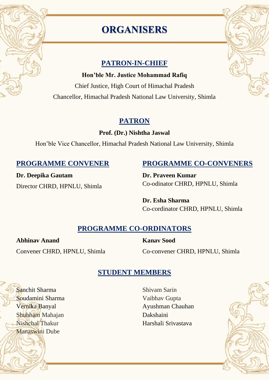

# **ORGANISERS**

## **PATRON-IN-CHIEF**

**Hon'ble Mr. Justice Mohammad Rafiq**

Chief Justice, High Court of Himachal Pradesh Chancellor, Himachal Pradesh National Law University, Shimla

# **PATRON**

**Prof. (Dr.) Nishtha Jaswal**

Hon'ble Vice Chancellor, Himachal Pradesh National Law University, Shimla

# **PROGRAMME CONVENER PROGRAMME CO-CONVENERS**

**Dr. Deepika Gautam** Director CHRD, HPNLU, Shimla **Dr. Praveen Kumar** Co-odinator CHRD, HPNLU, Shimla

**Dr. Esha Sharma** Co-cordinator CHRD, HPNLU, Shimla

# **PROGRAMME CO-ORDINATORS**

**Abhinav Anand** Convener CHRD, HPNLU, Shimla **Kanav Sood** Co-convener CHRD, HPNLU, Shimla

# **STUDENT MEMBERS**

Sanchit Sharma Soudamini Sharma Vernika Banyal Shubham Mahajan Nishchal Thakur Manaswini Dube

Shivam Sarin Vaibhav Gupta Ayushman Chauhan Dakshaini Harshali Srivastava